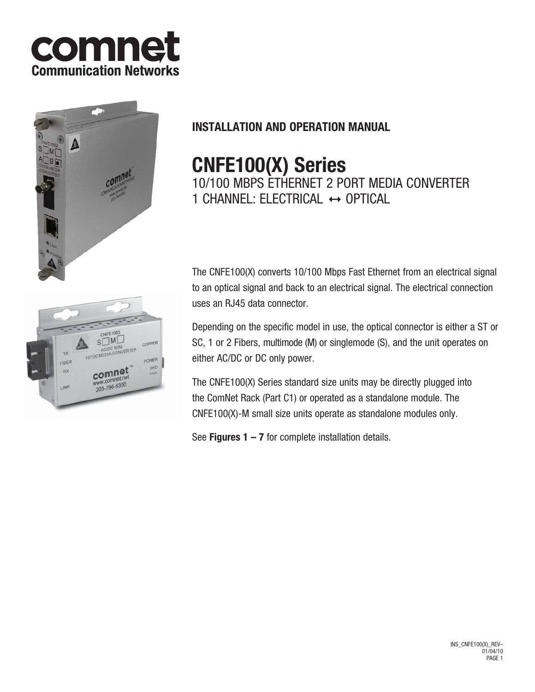



# **INSTALLATION AND OPERATION MANUAL**

# **CNFE100(X) Series**

10/100 MBPS ETHERNET 2 PORT MEDIA CONVERTER 1 CHANNEL: ELECTRICAL  $\leftrightarrow$  OPTICAL

The CNFE100(X) converts 10/100 Mbps Fast Ethernet from an electrical signal to an optical signal and back to an electrical signal. The electrical connection uses an RJ45 data connector.

Depending on the specific model in use, the optical connector is either a ST or SC, 1 or 2 Fibers, multimode (M) or singlemode (S), and the unit operates on either AC/DC or DC only power.

The CNFE100(X) Series standard size units may be directly plugged into the ComNet Rack (Part C1) or operated as a standalone module. The CNFE100(X)-M small size units operate as standalone modules only.

See **Figures 1 – 7** for complete installation details.

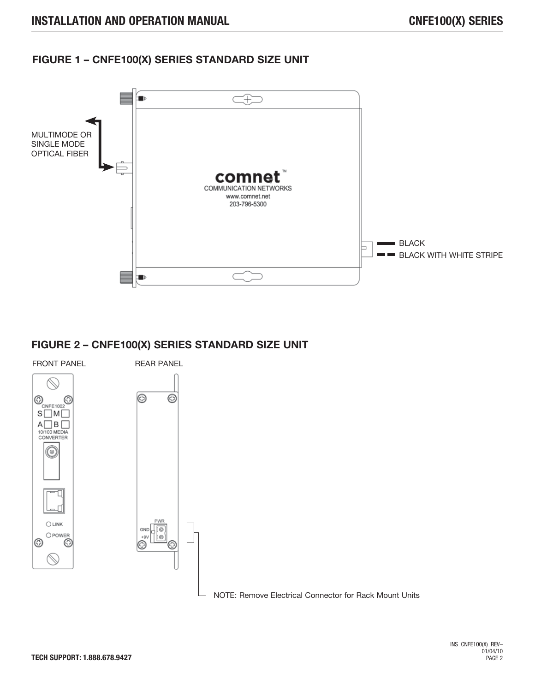### **FIGURE 1 – CNFE100(X) SERIES STANDARD SIZE UNIT**



### **FIGURE 2 – CNFE100(X) SERIES STANDARD SIZE UNIT**

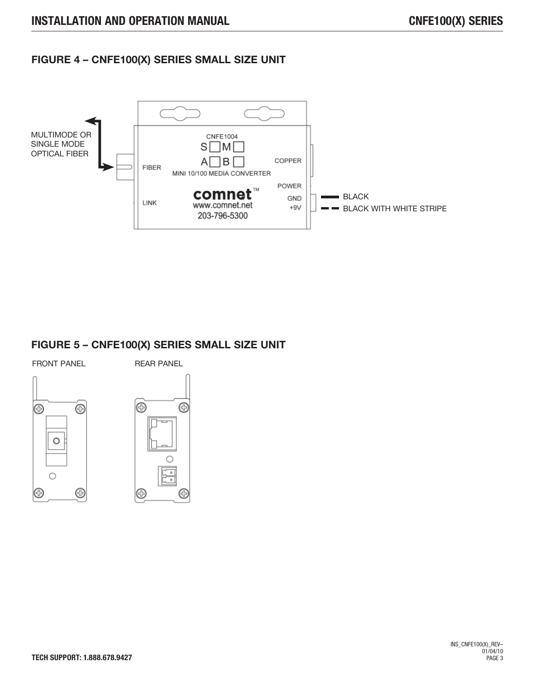## **FIGURE 4 – CNFE100(X) SERIES SMALL SIZE UNIT**



### **FIGURE 5 – CNFE100(X) SERIES SMALL SIZE UNIT**

FRONT PANEL REAR PANEL





⊕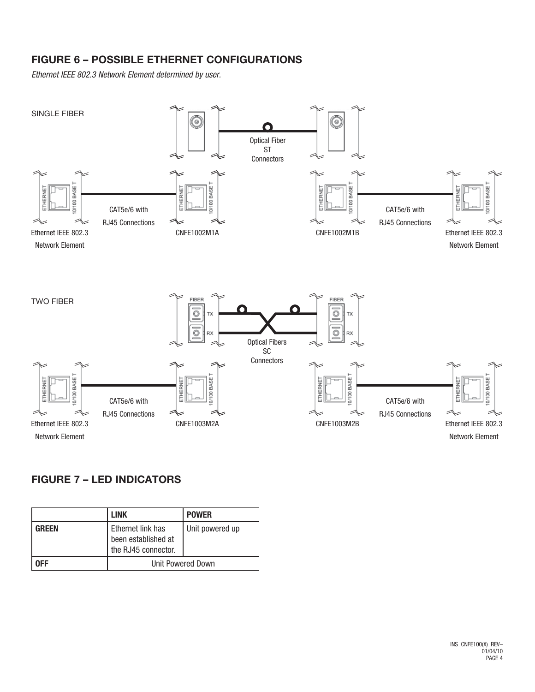# **FIGURE 6 – POSSIBLE ETHERNET CONFIGURATIONS**

*Ethernet IEEE 802.3 Network Element determined by user.*



# **FIGURE 7 – LED INDICATORS**

|              | <b>LINK</b>                                                     | <b>POWER</b>    |
|--------------|-----------------------------------------------------------------|-----------------|
| <b>GREEN</b> | Ethernet link has<br>been established at<br>the RJ45 connector. | Unit powered up |
| NFF          | Unit Powered Down                                               |                 |